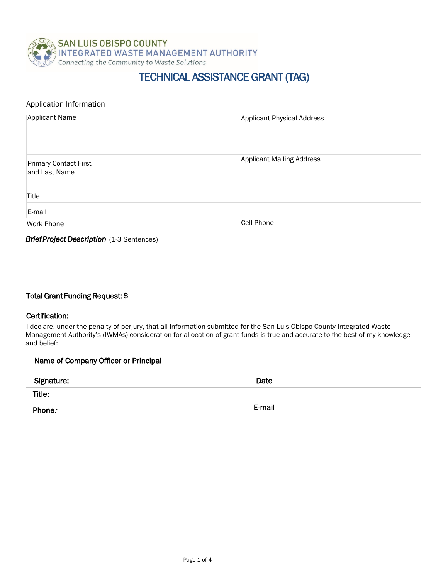

## TECHNICAL ASSISTANCE GRANT (TAG)

| Application Information                          |                                   |  |
|--------------------------------------------------|-----------------------------------|--|
| <b>Applicant Name</b>                            | <b>Applicant Physical Address</b> |  |
| <b>Primary Contact First</b><br>and Last Name    | <b>Applicant Mailing Address</b>  |  |
| Title                                            |                                   |  |
| E-mail                                           |                                   |  |
| <b>Work Phone</b>                                | Cell Phone                        |  |
| <b>Brief Project Description</b> (1-3 Sentences) |                                   |  |

Total Grant Funding Request: \$

#### Certification:

I declare, under the penalty of perjury, that all information submitted for the San Luis Obispo County Integrated Waste Management Authority's (IWMAs) consideration for allocation of grant funds is true and accurate to the best of my knowledge and belief:

| Name of Company Officer or Principal |        |  |
|--------------------------------------|--------|--|
| Signature:                           | Date   |  |
| Title:                               |        |  |
| Phone.                               | E-mail |  |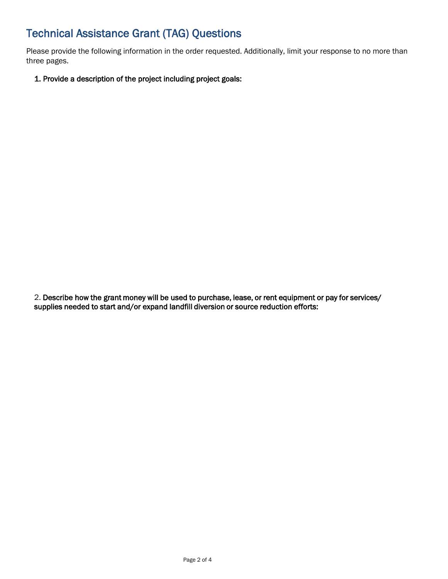# Technical Assistance Grant (TAG) Questions

Please provide the following information in the order requested. Additionally, limit your response to no more than three pages.

1. Provide a description of the project including project goals:

2. Describe how the grant money will be used to purchase, lease, or rent equipment or pay for services/ supplies needed to start and/or expand landfill diversion or source reduction efforts: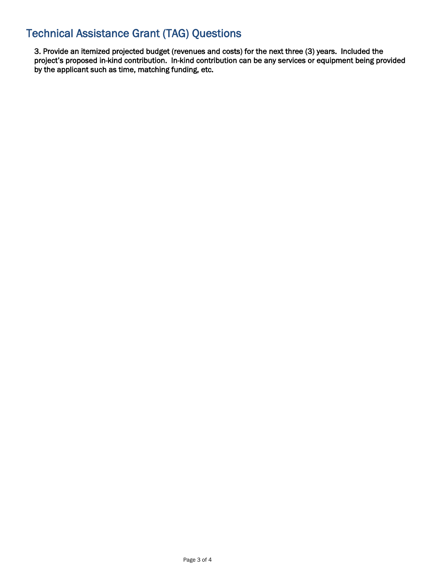## Technical Assistance Grant (TAG) Questions

3. Provide an itemized projected budget (revenues and costs) for the next three (3) years. Included the project's proposed in-kind contribution. In-kind contribution can be any services or equipment being provided by the applicant such as time, matching funding, etc.